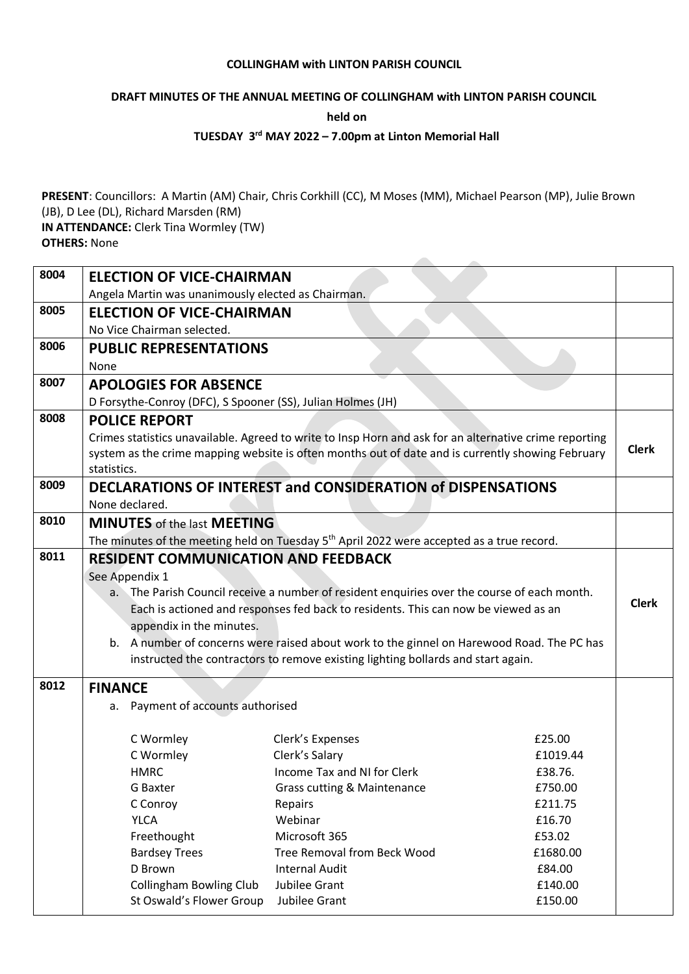#### **COLLINGHAM with LINTON PARISH COUNCIL**

### **DRAFT MINUTES OF THE ANNUAL MEETING OF COLLINGHAM with LINTON PARISH COUNCIL**

**held on**

### **TUESDAY 3 rd MAY 2022 – 7.00pm at Linton Memorial Hall**

**PRESENT**: Councillors: A Martin (AM) Chair, Chris Corkhill (CC), M Moses (MM), Michael Pearson (MP), Julie Brown (JB), D Lee (DL), Richard Marsden (RM) **IN ATTENDANCE:** Clerk Tina Wormley (TW)

**OTHERS:** None

| 8004 | <b>ELECTION OF VICE-CHAIRMAN</b>                                                            |                                                                                                                                                                                                             |          |              |
|------|---------------------------------------------------------------------------------------------|-------------------------------------------------------------------------------------------------------------------------------------------------------------------------------------------------------------|----------|--------------|
|      | Angela Martin was unanimously elected as Chairman.                                          |                                                                                                                                                                                                             |          |              |
| 8005 | <b>ELECTION OF VICE-CHAIRMAN</b>                                                            |                                                                                                                                                                                                             |          |              |
|      | No Vice Chairman selected.                                                                  |                                                                                                                                                                                                             |          |              |
| 8006 | <b>PUBLIC REPRESENTATIONS</b>                                                               |                                                                                                                                                                                                             |          |              |
| 8007 | None                                                                                        |                                                                                                                                                                                                             |          |              |
|      | <b>APOLOGIES FOR ABSENCE</b>                                                                |                                                                                                                                                                                                             |          |              |
| 8008 | D Forsythe-Conroy (DFC), S Spooner (SS), Julian Holmes (JH)                                 |                                                                                                                                                                                                             |          |              |
|      | <b>POLICE REPORT</b>                                                                        |                                                                                                                                                                                                             |          |              |
|      | statistics.                                                                                 | Crimes statistics unavailable. Agreed to write to Insp Horn and ask for an alternative crime reporting<br>system as the crime mapping website is often months out of date and is currently showing February |          | <b>Clerk</b> |
| 8009 |                                                                                             | DECLARATIONS OF INTEREST and CONSIDERATION of DISPENSATIONS                                                                                                                                                 |          |              |
|      | None declared.                                                                              |                                                                                                                                                                                                             |          |              |
| 8010 | <b>MINUTES</b> of the last <b>MEETING</b>                                                   |                                                                                                                                                                                                             |          |              |
|      |                                                                                             | The minutes of the meeting held on Tuesday 5 <sup>th</sup> April 2022 were accepted as a true record.                                                                                                       |          |              |
| 8011 | <b>RESIDENT COMMUNICATION AND FEEDBACK</b>                                                  |                                                                                                                                                                                                             |          |              |
|      | See Appendix 1                                                                              |                                                                                                                                                                                                             |          |              |
|      | a. The Parish Council receive a number of resident enquiries over the course of each month. |                                                                                                                                                                                                             |          |              |
|      |                                                                                             | Each is actioned and responses fed back to residents. This can now be viewed as an                                                                                                                          |          | <b>Clerk</b> |
|      | appendix in the minutes.                                                                    |                                                                                                                                                                                                             |          |              |
|      | b. A number of concerns were raised about work to the ginnel on Harewood Road. The PC has   |                                                                                                                                                                                                             |          |              |
|      | instructed the contractors to remove existing lighting bollards and start again.            |                                                                                                                                                                                                             |          |              |
| 8012 | <b>FINANCE</b>                                                                              |                                                                                                                                                                                                             |          |              |
|      | a. Payment of accounts authorised                                                           |                                                                                                                                                                                                             |          |              |
|      |                                                                                             |                                                                                                                                                                                                             |          |              |
|      | C Wormley                                                                                   | Clerk's Expenses                                                                                                                                                                                            | £25.00   |              |
|      | C Wormley                                                                                   | Clerk's Salary                                                                                                                                                                                              | £1019.44 |              |
|      | HMRC                                                                                        | Income Tax and NI for Clerk                                                                                                                                                                                 | £38.76.  |              |
|      | G Baxter                                                                                    | <b>Grass cutting &amp; Maintenance</b>                                                                                                                                                                      | £750.00  |              |
|      | C Conroy                                                                                    | Repairs                                                                                                                                                                                                     | £211.75  |              |
|      | <b>YLCA</b>                                                                                 | Webinar                                                                                                                                                                                                     | £16.70   |              |
|      | Freethought                                                                                 | Microsoft 365                                                                                                                                                                                               | £53.02   |              |
|      | <b>Bardsey Trees</b>                                                                        | <b>Tree Removal from Beck Wood</b>                                                                                                                                                                          | £1680.00 |              |
|      | D Brown                                                                                     | <b>Internal Audit</b>                                                                                                                                                                                       | £84.00   |              |
|      | <b>Collingham Bowling Club</b>                                                              | Jubilee Grant                                                                                                                                                                                               | £140.00  |              |
|      | St Oswald's Flower Group                                                                    | Jubilee Grant                                                                                                                                                                                               | £150.00  |              |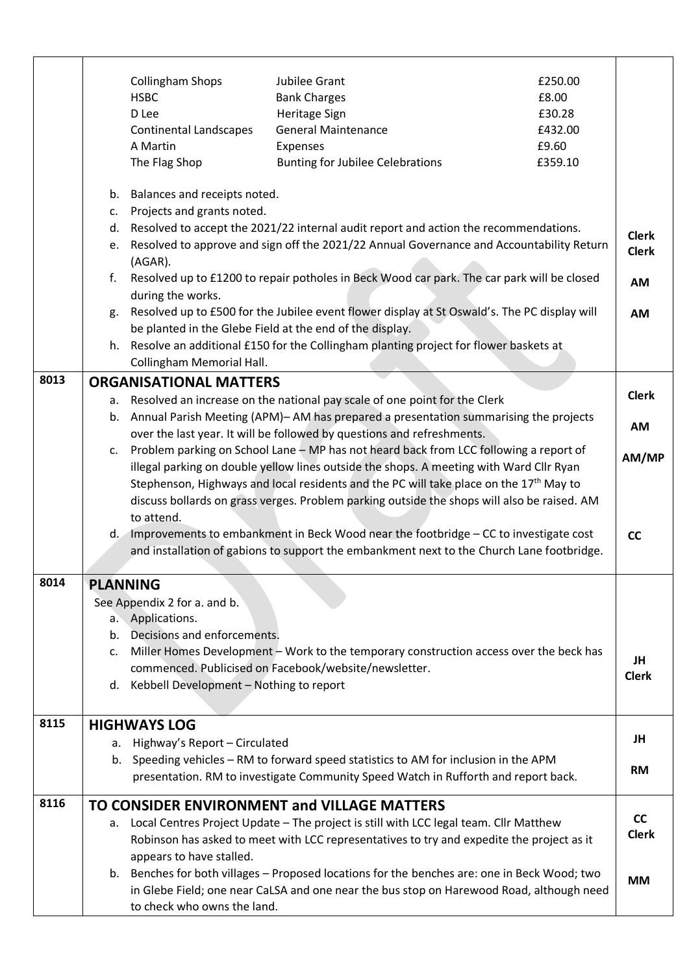|      |          | <b>Collingham Shops</b><br><b>HSBC</b><br>D Lee<br><b>Continental Landscapes</b><br>A Martin<br>The Flag Shop                                                                                 | Jubilee Grant<br><b>Bank Charges</b><br>Heritage Sign<br><b>General Maintenance</b><br>Expenses<br><b>Bunting for Jubilee Celebrations</b>                                               | £250.00<br>£8.00<br>£30.28<br>£432.00<br>£9.60<br>£359.10 |                              |
|------|----------|-----------------------------------------------------------------------------------------------------------------------------------------------------------------------------------------------|------------------------------------------------------------------------------------------------------------------------------------------------------------------------------------------|-----------------------------------------------------------|------------------------------|
|      |          | b. Balances and receipts noted.                                                                                                                                                               |                                                                                                                                                                                          |                                                           |                              |
|      |          | c. Projects and grants noted.                                                                                                                                                                 | d. Resolved to accept the 2021/22 internal audit report and action the recommendations.                                                                                                  |                                                           |                              |
|      |          | (AGAR).                                                                                                                                                                                       | e. Resolved to approve and sign off the 2021/22 Annual Governance and Accountability Return                                                                                              |                                                           | <b>Clerk</b><br><b>Clerk</b> |
|      | f.       | during the works.                                                                                                                                                                             | Resolved up to £1200 to repair potholes in Beck Wood car park. The car park will be closed                                                                                               |                                                           | <b>AM</b>                    |
|      |          |                                                                                                                                                                                               | g. Resolved up to £500 for the Jubilee event flower display at St Oswald's. The PC display will<br>be planted in the Glebe Field at the end of the display.                              |                                                           | AM                           |
|      |          | Collingham Memorial Hall.                                                                                                                                                                     | h. Resolve an additional £150 for the Collingham planting project for flower baskets at                                                                                                  |                                                           |                              |
| 8013 |          | <b>ORGANISATIONAL MATTERS</b>                                                                                                                                                                 |                                                                                                                                                                                          |                                                           |                              |
|      |          |                                                                                                                                                                                               | a. Resolved an increase on the national pay scale of one point for the Clerk                                                                                                             |                                                           | <b>Clerk</b>                 |
|      |          |                                                                                                                                                                                               | b. Annual Parish Meeting (APM)-AM has prepared a presentation summarising the projects                                                                                                   |                                                           | <b>AM</b>                    |
|      |          |                                                                                                                                                                                               | over the last year. It will be followed by questions and refreshments.                                                                                                                   |                                                           |                              |
|      |          | c. Problem parking on School Lane - MP has not heard back from LCC following a report of                                                                                                      |                                                                                                                                                                                          |                                                           | AM/MP                        |
|      |          | illegal parking on double yellow lines outside the shops. A meeting with Ward Cllr Ryan<br>Stephenson, Highways and local residents and the PC will take place on the 17 <sup>th</sup> May to |                                                                                                                                                                                          |                                                           |                              |
|      |          | discuss bollards on grass verges. Problem parking outside the shops will also be raised. AM<br>to attend.                                                                                     |                                                                                                                                                                                          |                                                           |                              |
|      |          |                                                                                                                                                                                               | d. Improvements to embankment in Beck Wood near the footbridge - CC to investigate cost                                                                                                  |                                                           | cc                           |
|      |          |                                                                                                                                                                                               | and installation of gabions to support the embankment next to the Church Lane footbridge.                                                                                                |                                                           |                              |
| 8014 |          | <b>PLANNING</b>                                                                                                                                                                               |                                                                                                                                                                                          |                                                           |                              |
|      |          | See Appendix 2 for a. and b.                                                                                                                                                                  |                                                                                                                                                                                          |                                                           |                              |
|      |          | a. Applications.                                                                                                                                                                              |                                                                                                                                                                                          |                                                           |                              |
|      | b.<br>c. | Decisions and enforcements.                                                                                                                                                                   | Miller Homes Development - Work to the temporary construction access over the beck has                                                                                                   |                                                           |                              |
|      |          |                                                                                                                                                                                               | commenced. Publicised on Facebook/website/newsletter.                                                                                                                                    |                                                           | JH                           |
|      |          | d. Kebbell Development - Nothing to report                                                                                                                                                    |                                                                                                                                                                                          |                                                           | <b>Clerk</b>                 |
| 8115 |          | <b>HIGHWAYS LOG</b>                                                                                                                                                                           |                                                                                                                                                                                          |                                                           |                              |
|      |          | a. Highway's Report - Circulated                                                                                                                                                              |                                                                                                                                                                                          |                                                           | JH                           |
|      |          |                                                                                                                                                                                               | b. Speeding vehicles - RM to forward speed statistics to AM for inclusion in the APM<br>presentation. RM to investigate Community Speed Watch in Rufforth and report back.               |                                                           | <b>RM</b>                    |
| 8116 |          |                                                                                                                                                                                               | TO CONSIDER ENVIRONMENT and VILLAGE MATTERS                                                                                                                                              |                                                           |                              |
|      | а.       |                                                                                                                                                                                               | Local Centres Project Update - The project is still with LCC legal team. Cllr Matthew                                                                                                    |                                                           | cc                           |
|      |          |                                                                                                                                                                                               | Robinson has asked to meet with LCC representatives to try and expedite the project as it                                                                                                |                                                           | <b>Clerk</b>                 |
|      |          | appears to have stalled.                                                                                                                                                                      |                                                                                                                                                                                          |                                                           |                              |
|      |          |                                                                                                                                                                                               | b. Benches for both villages - Proposed locations for the benches are: one in Beck Wood; two<br>in Glebe Field; one near CaLSA and one near the bus stop on Harewood Road, although need |                                                           | <b>MM</b>                    |
|      |          | to check who owns the land.                                                                                                                                                                   |                                                                                                                                                                                          |                                                           |                              |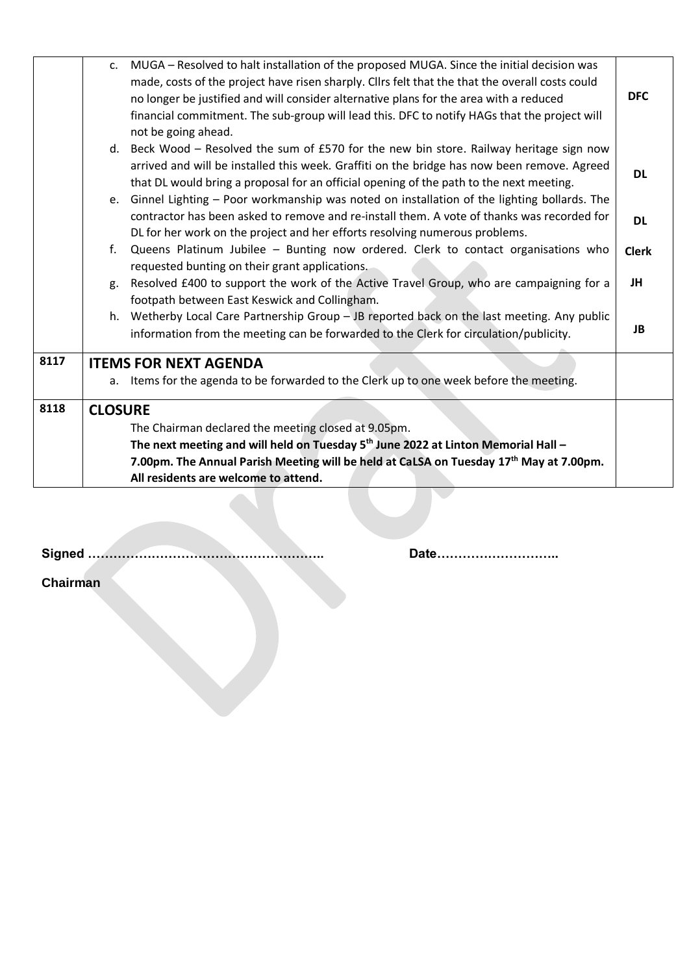|      | c. MUGA - Resolved to halt installation of the proposed MUGA. Since the initial decision was<br>made, costs of the project have risen sharply. Cllrs felt that the that the overall costs could<br>no longer be justified and will consider alternative plans for the area with a reduced<br>financial commitment. The sub-group will lead this. DFC to notify HAGs that the project will<br>not be going ahead. | <b>DFC</b>   |
|------|------------------------------------------------------------------------------------------------------------------------------------------------------------------------------------------------------------------------------------------------------------------------------------------------------------------------------------------------------------------------------------------------------------------|--------------|
|      | d. Beck Wood - Resolved the sum of £570 for the new bin store. Railway heritage sign now<br>arrived and will be installed this week. Graffiti on the bridge has now been remove. Agreed<br>that DL would bring a proposal for an official opening of the path to the next meeting.                                                                                                                               | <b>DL</b>    |
|      | e. Ginnel Lighting - Poor workmanship was noted on installation of the lighting bollards. The<br>contractor has been asked to remove and re-install them. A vote of thanks was recorded for<br>DL for her work on the project and her efforts resolving numerous problems.                                                                                                                                       | <b>DL</b>    |
|      | f. Queens Platinum Jubilee - Bunting now ordered. Clerk to contact organisations who                                                                                                                                                                                                                                                                                                                             | <b>Clerk</b> |
|      | requested bunting on their grant applications.<br>Resolved £400 to support the work of the Active Travel Group, who are campaigning for a<br>g.<br>footpath between East Keswick and Collingham.                                                                                                                                                                                                                 | JH           |
|      | h. Wetherby Local Care Partnership Group - JB reported back on the last meeting. Any public<br>information from the meeting can be forwarded to the Clerk for circulation/publicity.                                                                                                                                                                                                                             | JB           |
| 8117 | <b>ITEMS FOR NEXT AGENDA</b>                                                                                                                                                                                                                                                                                                                                                                                     |              |
|      | a. Items for the agenda to be forwarded to the Clerk up to one week before the meeting.                                                                                                                                                                                                                                                                                                                          |              |
| 8118 | <b>CLOSURE</b>                                                                                                                                                                                                                                                                                                                                                                                                   |              |
|      | The Chairman declared the meeting closed at 9.05pm.                                                                                                                                                                                                                                                                                                                                                              |              |
|      | The next meeting and will held on Tuesday 5 <sup>th</sup> June 2022 at Linton Memorial Hall -                                                                                                                                                                                                                                                                                                                    |              |
|      | 7.00pm. The Annual Parish Meeting will be held at CaLSA on Tuesday 17th May at 7.00pm.                                                                                                                                                                                                                                                                                                                           |              |
|      | All residents are welcome to attend.                                                                                                                                                                                                                                                                                                                                                                             |              |
|      |                                                                                                                                                                                                                                                                                                                                                                                                                  |              |

**Signed ……………………………………………….. Date………………………..**

**Chairman**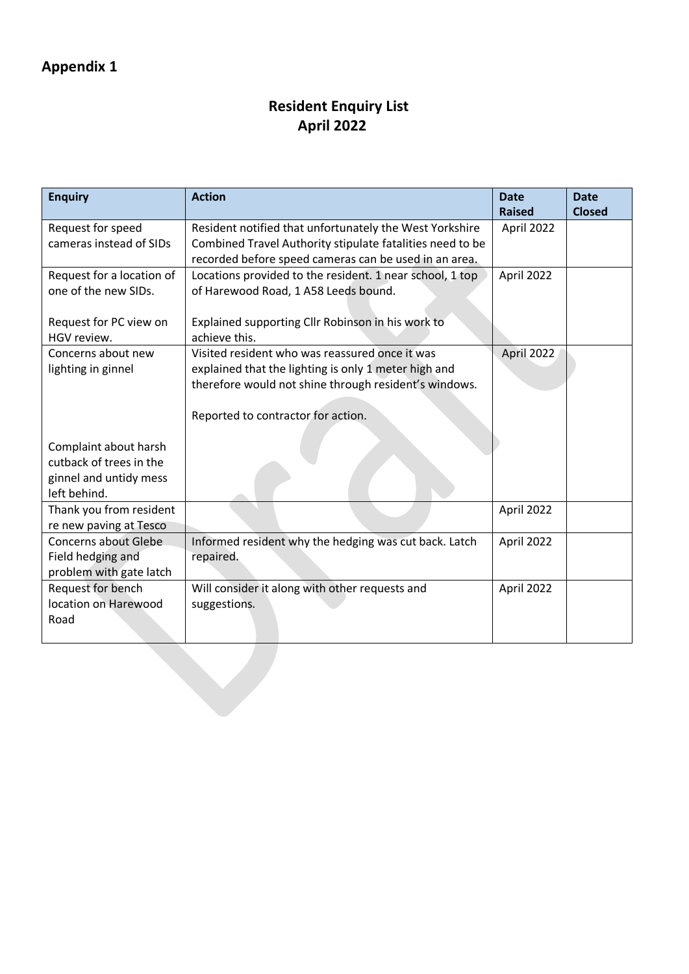## **Resident Enquiry List April 2022**

| <b>Enquiry</b>              | <b>Action</b>                                             | <b>Date</b><br><b>Raised</b> | <b>Date</b><br><b>Closed</b> |
|-----------------------------|-----------------------------------------------------------|------------------------------|------------------------------|
| Request for speed           | Resident notified that unfortunately the West Yorkshire   | April 2022                   |                              |
| cameras instead of SIDs     | Combined Travel Authority stipulate fatalities need to be |                              |                              |
|                             | recorded before speed cameras can be used in an area.     |                              |                              |
| Request for a location of   | Locations provided to the resident. 1 near school, 1 top  | April 2022                   |                              |
| one of the new SIDs.        | of Harewood Road, 1 A58 Leeds bound.                      |                              |                              |
|                             |                                                           |                              |                              |
| Request for PC view on      | Explained supporting Cllr Robinson in his work to         |                              |                              |
| HGV review.                 | achieve this.                                             |                              |                              |
| Concerns about new          | Visited resident who was reassured once it was            | April 2022                   |                              |
| lighting in ginnel          | explained that the lighting is only 1 meter high and      |                              |                              |
|                             | therefore would not shine through resident's windows.     |                              |                              |
|                             |                                                           |                              |                              |
|                             | Reported to contractor for action.                        |                              |                              |
|                             |                                                           |                              |                              |
| Complaint about harsh       |                                                           |                              |                              |
| cutback of trees in the     |                                                           |                              |                              |
| ginnel and untidy mess      |                                                           |                              |                              |
| left behind.                |                                                           |                              |                              |
| Thank you from resident     |                                                           | April 2022                   |                              |
| re new paving at Tesco      |                                                           |                              |                              |
| <b>Concerns about Glebe</b> | Informed resident why the hedging was cut back. Latch     | April 2022                   |                              |
| Field hedging and           | repaired.                                                 |                              |                              |
| problem with gate latch     |                                                           |                              |                              |
| Request for bench           | Will consider it along with other requests and            | April 2022                   |                              |
| location on Harewood        | suggestions.                                              |                              |                              |
| Road                        |                                                           |                              |                              |
|                             |                                                           |                              |                              |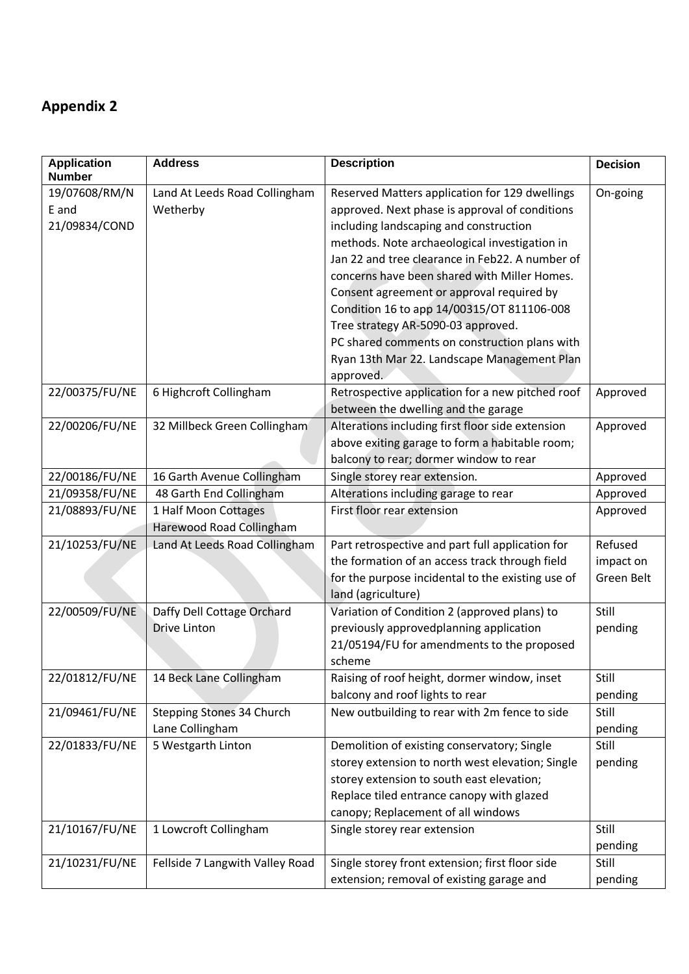# **Appendix 2**

| <b>Application</b><br><b>Number</b> | <b>Address</b>                  | <b>Description</b>                                | <b>Decision</b> |
|-------------------------------------|---------------------------------|---------------------------------------------------|-----------------|
| 19/07608/RM/N                       | Land At Leeds Road Collingham   | Reserved Matters application for 129 dwellings    | On-going        |
| E and                               | Wetherby                        | approved. Next phase is approval of conditions    |                 |
| 21/09834/COND                       |                                 | including landscaping and construction            |                 |
|                                     |                                 | methods. Note archaeological investigation in     |                 |
|                                     |                                 | Jan 22 and tree clearance in Feb22. A number of   |                 |
|                                     |                                 | concerns have been shared with Miller Homes.      |                 |
|                                     |                                 | Consent agreement or approval required by         |                 |
|                                     |                                 | Condition 16 to app 14/00315/OT 811106-008        |                 |
|                                     |                                 | Tree strategy AR-5090-03 approved.                |                 |
|                                     |                                 | PC shared comments on construction plans with     |                 |
|                                     |                                 | Ryan 13th Mar 22. Landscape Management Plan       |                 |
|                                     |                                 | approved.                                         |                 |
| 22/00375/FU/NE                      | 6 Highcroft Collingham          | Retrospective application for a new pitched roof  | Approved        |
|                                     |                                 | between the dwelling and the garage               |                 |
| 22/00206/FU/NE                      | 32 Millbeck Green Collingham    | Alterations including first floor side extension  | Approved        |
|                                     |                                 | above exiting garage to form a habitable room;    |                 |
|                                     |                                 | balcony to rear; dormer window to rear            |                 |
| 22/00186/FU/NE                      | 16 Garth Avenue Collingham      | Single storey rear extension.                     | Approved        |
| 21/09358/FU/NE                      | 48 Garth End Collingham         | Alterations including garage to rear              | Approved        |
| 21/08893/FU/NE                      | 1 Half Moon Cottages            | First floor rear extension                        | Approved        |
|                                     | Harewood Road Collingham        |                                                   |                 |
| 21/10253/FU/NE                      | Land At Leeds Road Collingham   | Part retrospective and part full application for  | Refused         |
|                                     |                                 | the formation of an access track through field    | impact on       |
|                                     |                                 | for the purpose incidental to the existing use of | Green Belt      |
|                                     |                                 | land (agriculture)                                |                 |
| 22/00509/FU/NE                      | Daffy Dell Cottage Orchard      | Variation of Condition 2 (approved plans) to      | Still           |
|                                     | <b>Drive Linton</b>             | previously approvedplanning application           | pending         |
|                                     |                                 | 21/05194/FU for amendments to the proposed        |                 |
|                                     |                                 | scheme                                            |                 |
| 22/01812/FU/NE                      | 14 Beck Lane Collingham         | Raising of roof height, dormer window, inset      | Still           |
|                                     |                                 | balcony and roof lights to rear                   | pending         |
| 21/09461/FU/NE                      | Stepping Stones 34 Church       | New outbuilding to rear with 2m fence to side     | Still           |
|                                     | Lane Collingham                 |                                                   | pending         |
| 22/01833/FU/NE                      | 5 Westgarth Linton              | Demolition of existing conservatory; Single       | Still           |
|                                     |                                 | storey extension to north west elevation; Single  | pending         |
|                                     |                                 | storey extension to south east elevation;         |                 |
|                                     |                                 | Replace tiled entrance canopy with glazed         |                 |
|                                     |                                 | canopy; Replacement of all windows                |                 |
| 21/10167/FU/NE                      | 1 Lowcroft Collingham           | Single storey rear extension                      | Still           |
|                                     |                                 |                                                   | pending         |
| 21/10231/FU/NE                      | Fellside 7 Langwith Valley Road | Single storey front extension; first floor side   | Still           |
|                                     |                                 | extension; removal of existing garage and         | pending         |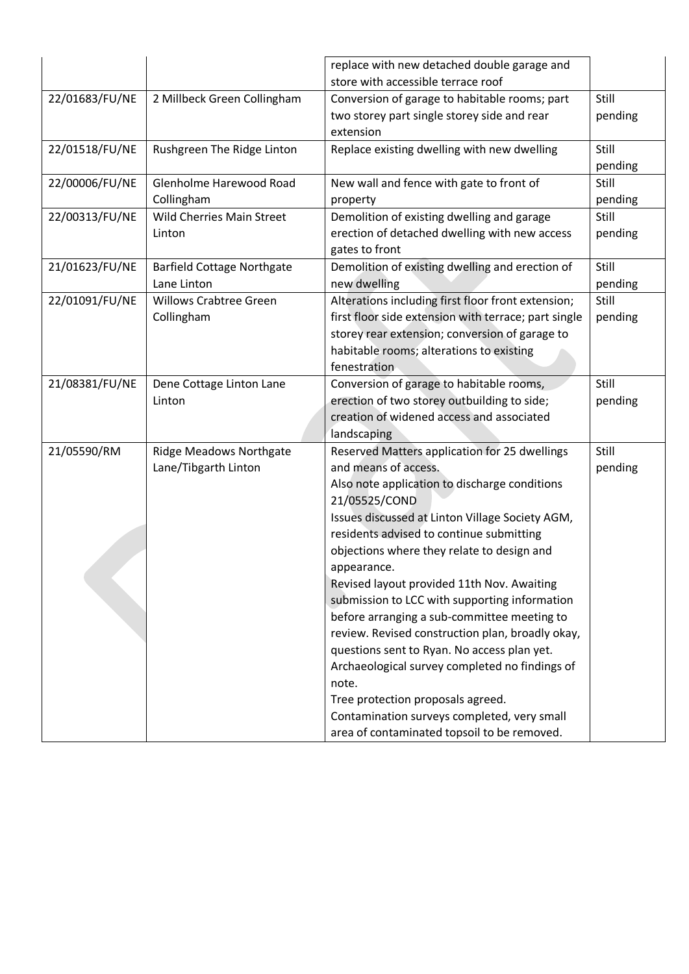|                |                                   | replace with new detached double garage and          |         |
|----------------|-----------------------------------|------------------------------------------------------|---------|
|                |                                   | store with accessible terrace roof                   |         |
| 22/01683/FU/NE | 2 Millbeck Green Collingham       | Conversion of garage to habitable rooms; part        | Still   |
|                |                                   | two storey part single storey side and rear          | pending |
|                |                                   | extension                                            |         |
| 22/01518/FU/NE | Rushgreen The Ridge Linton        | Replace existing dwelling with new dwelling          | Still   |
|                |                                   |                                                      | pending |
| 22/00006/FU/NE | Glenholme Harewood Road           | New wall and fence with gate to front of             | Still   |
|                | Collingham                        | property                                             | pending |
| 22/00313/FU/NE | <b>Wild Cherries Main Street</b>  | Demolition of existing dwelling and garage           | Still   |
|                | Linton                            | erection of detached dwelling with new access        | pending |
|                |                                   | gates to front                                       |         |
| 21/01623/FU/NE | <b>Barfield Cottage Northgate</b> | Demolition of existing dwelling and erection of      | Still   |
|                | Lane Linton                       | new dwelling                                         | pending |
| 22/01091/FU/NE | <b>Willows Crabtree Green</b>     | Alterations including first floor front extension;   | Still   |
|                | Collingham                        | first floor side extension with terrace; part single | pending |
|                |                                   | storey rear extension; conversion of garage to       |         |
|                |                                   | habitable rooms; alterations to existing             |         |
|                |                                   | fenestration                                         |         |
| 21/08381/FU/NE | Dene Cottage Linton Lane          | Conversion of garage to habitable rooms,             | Still   |
|                | Linton                            | erection of two storey outbuilding to side;          | pending |
|                |                                   | creation of widened access and associated            |         |
|                |                                   | landscaping                                          |         |
| 21/05590/RM    | <b>Ridge Meadows Northgate</b>    | Reserved Matters application for 25 dwellings        | Still   |
|                | Lane/Tibgarth Linton              | and means of access.                                 | pending |
|                |                                   | Also note application to discharge conditions        |         |
|                |                                   | 21/05525/COND                                        |         |
|                |                                   | Issues discussed at Linton Village Society AGM,      |         |
|                |                                   | residents advised to continue submitting             |         |
|                |                                   | objections where they relate to design and           |         |
|                |                                   | appearance.                                          |         |
|                |                                   | Revised layout provided 11th Nov. Awaiting           |         |
|                |                                   | submission to LCC with supporting information        |         |
|                |                                   | before arranging a sub-committee meeting to          |         |
|                |                                   | review. Revised construction plan, broadly okay,     |         |
|                |                                   | questions sent to Ryan. No access plan yet.          |         |
|                |                                   | Archaeological survey completed no findings of       |         |
|                |                                   | note.                                                |         |
|                |                                   | Tree protection proposals agreed.                    |         |
|                |                                   | Contamination surveys completed, very small          |         |
|                |                                   | area of contaminated topsoil to be removed.          |         |